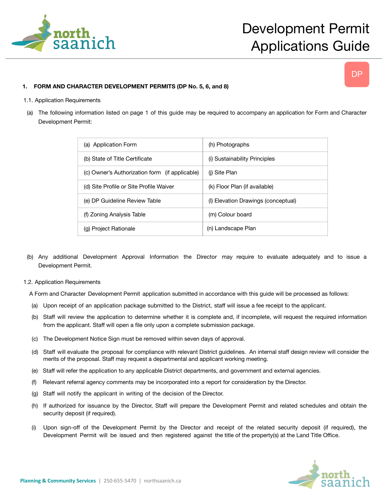

# DP

## **1. FORM AND CHARACTER DEVELOPMENT PERMITS (DP No. 5, 6, and 8)**

#### 1.1. Application Requirements

(a) The following information listed on page 1 of this guide may be required to accompany an application for Form and Character Development Permit:

| (a) Application Form                           | (h) Photographs                     |
|------------------------------------------------|-------------------------------------|
| (b) State of Title Certificate                 | (i) Sustainability Principles       |
| (c) Owner's Authorization form (if applicable) | (i) Site Plan                       |
| (d) Site Profile or Site Profile Waiver        | (k) Floor Plan (if available)       |
| (e) DP Guideline Review Table                  | (I) Elevation Drawings (conceptual) |
| (f) Zoning Analysis Table                      | (m) Colour board                    |
| (g) Project Rationale                          | (n) Landscape Plan                  |

(b) Any additional Development Approval Information the Director may require to evaluate adequately and to issue a Development Permit.

#### 1.2. Application Requirements

A Form and Character Development Permit application submitted in accordance with this guide will be processed as follows:

- (a) Upon receipt of an application package submitted to the District, staff will issue a fee receipt to the applicant.
- (b) Staff will review the application to determine whether it is complete and, if incomplete, will request the required information from the applicant. Staff will open a file only upon a complete submission package.
- (c) The Development Notice Sign must be removed within seven days of approval.
- (d) Staff will evaluate the proposal for compliance with relevant District guidelines. An internal staff design review will consider the merits of the proposal. Staff may request a departmental and applicant working meeting.
- (e) Staff will refer the application to any applicable District departments, and government and external agencies.
- (f) Relevant referral agency comments may be incorporated into a report for consideration by the Director.
- (g) Staff will notify the applicant in writing of the decision of the Director.
- (h) If authorized for issuance by the Director, Staff will prepare the Development Permit and related schedules and obtain the security deposit (if required).
- (i) Upon sign-off of the Development Permit by the Director and receipt of the related security deposit (if required), the Development Permit will be issued and then registered against the title of the property(s) at the Land Title Office.